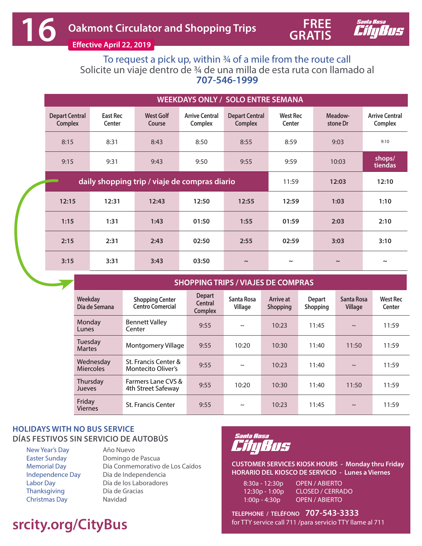

**Effective April 22, 2019** 

To request a pick up, within 34 of a mile from the route call Solicite un viaje dentro de ¾ de una milla de esta ruta con llamado al **707-546-1999**

|                                         | <b>WEEKDAYS ONLY / SOLO ENTRE SEMANA</b> |                                               |                                  |                                         |                           |                     |                                  |  |  |  |  |  |  |
|-----------------------------------------|------------------------------------------|-----------------------------------------------|----------------------------------|-----------------------------------------|---------------------------|---------------------|----------------------------------|--|--|--|--|--|--|
| <b>Depart Central</b><br><b>Complex</b> | East Rec<br>Center                       | <b>West Golf</b><br>Course                    | <b>Arrive Central</b><br>Complex | <b>Depart Central</b><br><b>Complex</b> | <b>West Rec</b><br>Center | Meadow-<br>stone Dr | <b>Arrive Central</b><br>Complex |  |  |  |  |  |  |
| 8:15                                    | 8:31                                     | 8:43                                          | 8:50                             | 8:55                                    | 8:59                      | 9:03                | 9:10                             |  |  |  |  |  |  |
| 9:15                                    | 9:31                                     |                                               | 9:50                             | 9:55<br>9:59                            |                           | 10:03               | shops/<br>tiendas                |  |  |  |  |  |  |
|                                         |                                          | daily shopping trip / viaje de compras diario | 11:59                            | 12:03                                   | 12:10                     |                     |                                  |  |  |  |  |  |  |
| 12:15                                   | 12:31                                    | 12:43                                         | 12:50                            | 12:55                                   | 12:59                     | 1:03                | 1:10                             |  |  |  |  |  |  |
| 1:15                                    | 1:31                                     | 1:43                                          | 01:50                            | 1:55                                    | 01:59                     | 2:03                | 2:10                             |  |  |  |  |  |  |
| 2:15                                    | 2:31                                     | 2:43                                          | 02:50                            | 2:55                                    | 02:59                     | 3:03                | 3:10                             |  |  |  |  |  |  |
| 3:15                                    | 3:31                                     | 3:43                                          | 03:50                            | $\sim$                                  | $\tilde{}$                | $\sim$              | $\tilde{}$                       |  |  |  |  |  |  |

**SHOPPING TRIPS / VIAJES DE COMPRAS** 

| Weekday<br>Dia de Semana      | <b>Shopping Center</b><br><b>Centro Comercial</b> | <b>Depart</b><br>Central<br><b>Complex</b> | Santa Rosa<br>Village | Arrive at<br><b>Shopping</b> | <b>Depart</b><br>Shopping | Santa Rosa<br>Village | <b>West Rec</b><br>Center |
|-------------------------------|---------------------------------------------------|--------------------------------------------|-----------------------|------------------------------|---------------------------|-----------------------|---------------------------|
| Monday<br>Lunes               | <b>Bennett Valley</b><br>Center                   | 9:55                                       | $\sim$                | 10:23                        | 11:45                     | $\sim$                | 11:59                     |
| Tuesday<br><b>Martes</b>      | Montgomery Village                                | 9:55                                       | 10:20                 | 10:30                        | 11:40                     | 11:50                 | 11:59                     |
| Wednesday<br><b>Miercoles</b> | St. Francis Center &<br><b>Montecito Oliver's</b> | 9:55                                       | $\sim$                | 10:23                        | 11:40                     | $\sim$                | 11:59                     |
| Thursday<br>Jueves            | Farmers Lane CVS &<br>4th Street Safeway          | 9:55                                       | 10:20                 | 10:30                        | 11:40                     | 11:50                 | 11:59                     |
| Friday<br><b>Viernes</b>      | <b>St. Francis Center</b>                         | 9:55                                       | $\sim$                | 10:23                        | 11:45                     | $\sim$                | 11:59                     |

## **HOLIDAYS WITH NO BUS SERVICE DÍAS FESTIVOS SIN SERVICIO DE AUTOBÚS**

New Year's Day Easter Sunday Memorial Day Independence Day Labor Day **Thanksgiving** Christmas Day

Año Nuevo Domingo de Pascua Día Conmemorativo de Los Caídos Dia de Independencia Día de los Laboradores Día de Gracias Navidad

## **srcity.org/CityBus**



**CUSTOMER SERVICES KIOSK HOURS - Monday thru Friday HORARIO DEL KIOSCO DE SERVICIO - Lunes a Viernes**

8:30a - 12:30p OPEN / ABIERTO 12:30p - 1:00p CLOSED / CERRADO 1:00p - 4:30p OPEN / ABIERTO

**TELEPHONE / TELÉFONO 707-543-3333** for TTY service call 711 /para servicio TTY llame al 711